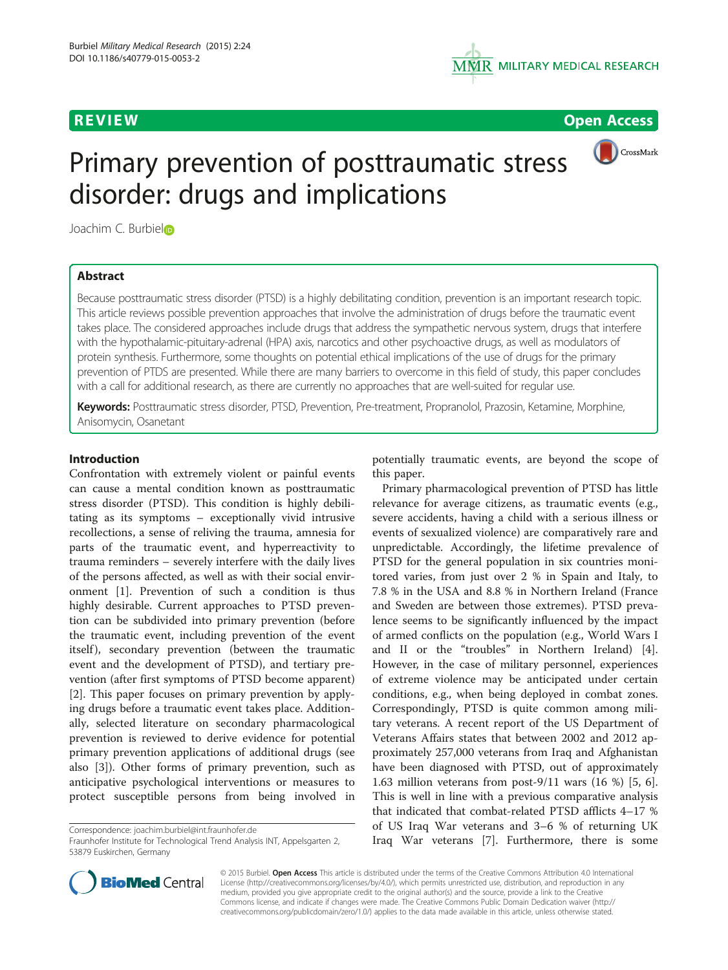

**REVIEW CONSTRUCTION CONSTRUCTION CONSTRUCTS** 

CrossMark

# Primary prevention of posttraumatic stress disorder: drugs and implications

Joachim C. Burbiel®

# Abstract

Because posttraumatic stress disorder (PTSD) is a highly debilitating condition, prevention is an important research topic. This article reviews possible prevention approaches that involve the administration of drugs before the traumatic event takes place. The considered approaches include drugs that address the sympathetic nervous system, drugs that interfere with the hypothalamic-pituitary-adrenal (HPA) axis, narcotics and other psychoactive drugs, as well as modulators of protein synthesis. Furthermore, some thoughts on potential ethical implications of the use of drugs for the primary prevention of PTDS are presented. While there are many barriers to overcome in this field of study, this paper concludes with a call for additional research, as there are currently no approaches that are well-suited for regular use.

Keywords: Posttraumatic stress disorder, PTSD, Prevention, Pre-treatment, Propranolol, Prazosin, Ketamine, Morphine, Anisomycin, Osanetant

## Introduction

Confrontation with extremely violent or painful events can cause a mental condition known as posttraumatic stress disorder (PTSD). This condition is highly debilitating as its symptoms – exceptionally vivid intrusive recollections, a sense of reliving the trauma, amnesia for parts of the traumatic event, and hyperreactivity to trauma reminders – severely interfere with the daily lives of the persons affected, as well as with their social environment [[1\]](#page-5-0). Prevention of such a condition is thus highly desirable. Current approaches to PTSD prevention can be subdivided into primary prevention (before the traumatic event, including prevention of the event itself), secondary prevention (between the traumatic event and the development of PTSD), and tertiary prevention (after first symptoms of PTSD become apparent) [[2\]](#page-5-0). This paper focuses on primary prevention by applying drugs before a traumatic event takes place. Additionally, selected literature on secondary pharmacological prevention is reviewed to derive evidence for potential primary prevention applications of additional drugs (see also [[3\]](#page-5-0)). Other forms of primary prevention, such as anticipative psychological interventions or measures to protect susceptible persons from being involved in

Correspondence: [joachim.burbiel@int.fraunhofer.de](mailto:joachim.burbiel@int.fraunhofer.de)

Fraunhofer Institute for Technological Trend Analysis INT, Appelsgarten 2, 53879 Euskirchen, Germany

potentially traumatic events, are beyond the scope of this paper.

Primary pharmacological prevention of PTSD has little relevance for average citizens, as traumatic events (e.g., severe accidents, having a child with a serious illness or events of sexualized violence) are comparatively rare and unpredictable. Accordingly, the lifetime prevalence of PTSD for the general population in six countries monitored varies, from just over 2 % in Spain and Italy, to 7.8 % in the USA and 8.8 % in Northern Ireland (France and Sweden are between those extremes). PTSD prevalence seems to be significantly influenced by the impact of armed conflicts on the population (e.g., World Wars I and II or the "troubles" in Northern Ireland) [\[4](#page-5-0)]. However, in the case of military personnel, experiences of extreme violence may be anticipated under certain conditions, e.g., when being deployed in combat zones. Correspondingly, PTSD is quite common among military veterans. A recent report of the US Department of Veterans Affairs states that between 2002 and 2012 approximately 257,000 veterans from Iraq and Afghanistan have been diagnosed with PTSD, out of approximately 1.63 million veterans from post-9/11 wars (16 %) [[5](#page-5-0), [6](#page-5-0)]. This is well in line with a previous comparative analysis that indicated that combat-related PTSD afflicts 4–17 % of US Iraq War veterans and 3–6 % of returning UK Iraq War veterans [\[7](#page-5-0)]. Furthermore, there is some



© 2015 Burbiel. Open Access This article is distributed under the terms of the Creative Commons Attribution 4.0 International License ([http://creativecommons.org/licenses/by/4.0/\)](http://creativecommons.org/licenses/by/4.0/), which permits unrestricted use, distribution, and reproduction in any medium, provided you give appropriate credit to the original author(s) and the source, provide a link to the Creative Commons license, and indicate if changes were made. The Creative Commons Public Domain Dedication waiver ([http://](http://creativecommons.org/publicdomain/zero/1.0/) [creativecommons.org/publicdomain/zero/1.0/\)](http://creativecommons.org/publicdomain/zero/1.0/) applies to the data made available in this article, unless otherwise stated.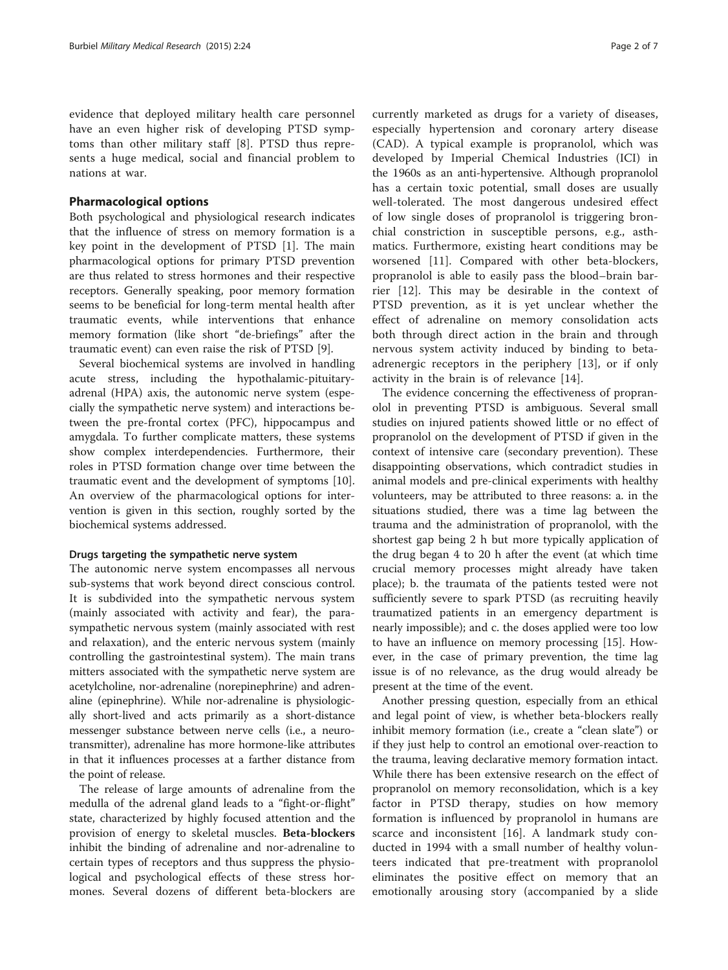evidence that deployed military health care personnel have an even higher risk of developing PTSD symptoms than other military staff [[8\]](#page-5-0). PTSD thus represents a huge medical, social and financial problem to nations at war.

# Pharmacological options

Both psychological and physiological research indicates that the influence of stress on memory formation is a key point in the development of PTSD [\[1\]](#page-5-0). The main pharmacological options for primary PTSD prevention are thus related to stress hormones and their respective receptors. Generally speaking, poor memory formation seems to be beneficial for long-term mental health after traumatic events, while interventions that enhance memory formation (like short "de-briefings" after the traumatic event) can even raise the risk of PTSD [[9\]](#page-5-0).

Several biochemical systems are involved in handling acute stress, including the hypothalamic-pituitaryadrenal (HPA) axis, the autonomic nerve system (especially the sympathetic nerve system) and interactions between the pre-frontal cortex (PFC), hippocampus and amygdala. To further complicate matters, these systems show complex interdependencies. Furthermore, their roles in PTSD formation change over time between the traumatic event and the development of symptoms [\[10](#page-5-0)]. An overview of the pharmacological options for intervention is given in this section, roughly sorted by the biochemical systems addressed.

#### Drugs targeting the sympathetic nerve system

The autonomic nerve system encompasses all nervous sub-systems that work beyond direct conscious control. It is subdivided into the sympathetic nervous system (mainly associated with activity and fear), the parasympathetic nervous system (mainly associated with rest and relaxation), and the enteric nervous system (mainly controlling the gastrointestinal system). The main trans mitters associated with the sympathetic nerve system are acetylcholine, nor-adrenaline (norepinephrine) and adrenaline (epinephrine). While nor-adrenaline is physiologically short-lived and acts primarily as a short-distance messenger substance between nerve cells (i.e., a neurotransmitter), adrenaline has more hormone-like attributes in that it influences processes at a farther distance from the point of release.

The release of large amounts of adrenaline from the medulla of the adrenal gland leads to a "fight-or-flight" state, characterized by highly focused attention and the provision of energy to skeletal muscles. Beta-blockers inhibit the binding of adrenaline and nor-adrenaline to certain types of receptors and thus suppress the physiological and psychological effects of these stress hormones. Several dozens of different beta-blockers are

currently marketed as drugs for a variety of diseases, especially hypertension and coronary artery disease (CAD). A typical example is propranolol, which was developed by Imperial Chemical Industries (ICI) in the 1960s as an anti-hypertensive. Although propranolol has a certain toxic potential, small doses are usually well-tolerated. The most dangerous undesired effect of low single doses of propranolol is triggering bronchial constriction in susceptible persons, e.g., asthmatics. Furthermore, existing heart conditions may be worsened [\[11](#page-5-0)]. Compared with other beta-blockers, propranolol is able to easily pass the blood–brain barrier [[12](#page-5-0)]. This may be desirable in the context of PTSD prevention, as it is yet unclear whether the effect of adrenaline on memory consolidation acts both through direct action in the brain and through nervous system activity induced by binding to betaadrenergic receptors in the periphery [[13](#page-5-0)], or if only activity in the brain is of relevance [[14\]](#page-5-0).

The evidence concerning the effectiveness of propranolol in preventing PTSD is ambiguous. Several small studies on injured patients showed little or no effect of propranolol on the development of PTSD if given in the context of intensive care (secondary prevention). These disappointing observations, which contradict studies in animal models and pre-clinical experiments with healthy volunteers, may be attributed to three reasons: a. in the situations studied, there was a time lag between the trauma and the administration of propranolol, with the shortest gap being 2 h but more typically application of the drug began 4 to 20 h after the event (at which time crucial memory processes might already have taken place); b. the traumata of the patients tested were not sufficiently severe to spark PTSD (as recruiting heavily traumatized patients in an emergency department is nearly impossible); and c. the doses applied were too low to have an influence on memory processing [\[15](#page-5-0)]. However, in the case of primary prevention, the time lag issue is of no relevance, as the drug would already be present at the time of the event.

Another pressing question, especially from an ethical and legal point of view, is whether beta-blockers really inhibit memory formation (i.e., create a "clean slate") or if they just help to control an emotional over-reaction to the trauma, leaving declarative memory formation intact. While there has been extensive research on the effect of propranolol on memory reconsolidation, which is a key factor in PTSD therapy, studies on how memory formation is influenced by propranolol in humans are scarce and inconsistent [[16\]](#page-5-0). A landmark study conducted in 1994 with a small number of healthy volunteers indicated that pre-treatment with propranolol eliminates the positive effect on memory that an emotionally arousing story (accompanied by a slide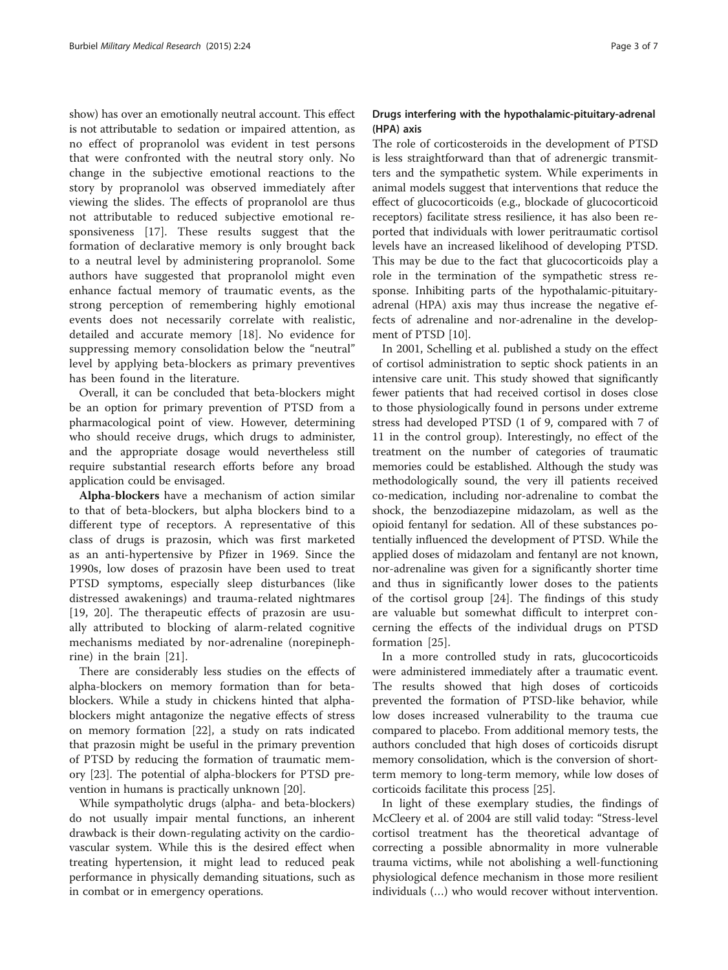show) has over an emotionally neutral account. This effect is not attributable to sedation or impaired attention, as no effect of propranolol was evident in test persons that were confronted with the neutral story only. No change in the subjective emotional reactions to the story by propranolol was observed immediately after viewing the slides. The effects of propranolol are thus not attributable to reduced subjective emotional responsiveness [\[17](#page-5-0)]. These results suggest that the formation of declarative memory is only brought back to a neutral level by administering propranolol. Some authors have suggested that propranolol might even enhance factual memory of traumatic events, as the strong perception of remembering highly emotional events does not necessarily correlate with realistic, detailed and accurate memory [\[18](#page-5-0)]. No evidence for suppressing memory consolidation below the "neutral" level by applying beta-blockers as primary preventives has been found in the literature.

Overall, it can be concluded that beta-blockers might be an option for primary prevention of PTSD from a pharmacological point of view. However, determining who should receive drugs, which drugs to administer, and the appropriate dosage would nevertheless still require substantial research efforts before any broad application could be envisaged.

Alpha-blockers have a mechanism of action similar to that of beta-blockers, but alpha blockers bind to a different type of receptors. A representative of this class of drugs is prazosin, which was first marketed as an anti-hypertensive by Pfizer in 1969. Since the 1990s, low doses of prazosin have been used to treat PTSD symptoms, especially sleep disturbances (like distressed awakenings) and trauma-related nightmares [[19, 20\]](#page-5-0). The therapeutic effects of prazosin are usually attributed to blocking of alarm-related cognitive mechanisms mediated by nor-adrenaline (norepinephrine) in the brain [\[21](#page-5-0)].

There are considerably less studies on the effects of alpha-blockers on memory formation than for betablockers. While a study in chickens hinted that alphablockers might antagonize the negative effects of stress on memory formation [\[22](#page-5-0)], a study on rats indicated that prazosin might be useful in the primary prevention of PTSD by reducing the formation of traumatic memory [[23\]](#page-5-0). The potential of alpha-blockers for PTSD prevention in humans is practically unknown [[20\]](#page-5-0).

While sympatholytic drugs (alpha- and beta-blockers) do not usually impair mental functions, an inherent drawback is their down-regulating activity on the cardiovascular system. While this is the desired effect when treating hypertension, it might lead to reduced peak performance in physically demanding situations, such as in combat or in emergency operations.

# Drugs interfering with the hypothalamic-pituitary-adrenal (HPA) axis

The role of corticosteroids in the development of PTSD is less straightforward than that of adrenergic transmitters and the sympathetic system. While experiments in animal models suggest that interventions that reduce the effect of glucocorticoids (e.g., blockade of glucocorticoid receptors) facilitate stress resilience, it has also been reported that individuals with lower peritraumatic cortisol levels have an increased likelihood of developing PTSD. This may be due to the fact that glucocorticoids play a role in the termination of the sympathetic stress response. Inhibiting parts of the hypothalamic-pituitaryadrenal (HPA) axis may thus increase the negative effects of adrenaline and nor-adrenaline in the development of PTSD [\[10\]](#page-5-0).

In 2001, Schelling et al. published a study on the effect of cortisol administration to septic shock patients in an intensive care unit. This study showed that significantly fewer patients that had received cortisol in doses close to those physiologically found in persons under extreme stress had developed PTSD (1 of 9, compared with 7 of 11 in the control group). Interestingly, no effect of the treatment on the number of categories of traumatic memories could be established. Although the study was methodologically sound, the very ill patients received co-medication, including nor-adrenaline to combat the shock, the benzodiazepine midazolam, as well as the opioid fentanyl for sedation. All of these substances potentially influenced the development of PTSD. While the applied doses of midazolam and fentanyl are not known, nor-adrenaline was given for a significantly shorter time and thus in significantly lower doses to the patients of the cortisol group [[24](#page-5-0)]. The findings of this study are valuable but somewhat difficult to interpret concerning the effects of the individual drugs on PTSD formation [\[25](#page-5-0)].

In a more controlled study in rats, glucocorticoids were administered immediately after a traumatic event. The results showed that high doses of corticoids prevented the formation of PTSD-like behavior, while low doses increased vulnerability to the trauma cue compared to placebo. From additional memory tests, the authors concluded that high doses of corticoids disrupt memory consolidation, which is the conversion of shortterm memory to long-term memory, while low doses of corticoids facilitate this process [\[25](#page-5-0)].

In light of these exemplary studies, the findings of McCleery et al. of 2004 are still valid today: "Stress-level cortisol treatment has the theoretical advantage of correcting a possible abnormality in more vulnerable trauma victims, while not abolishing a well-functioning physiological defence mechanism in those more resilient individuals (…) who would recover without intervention.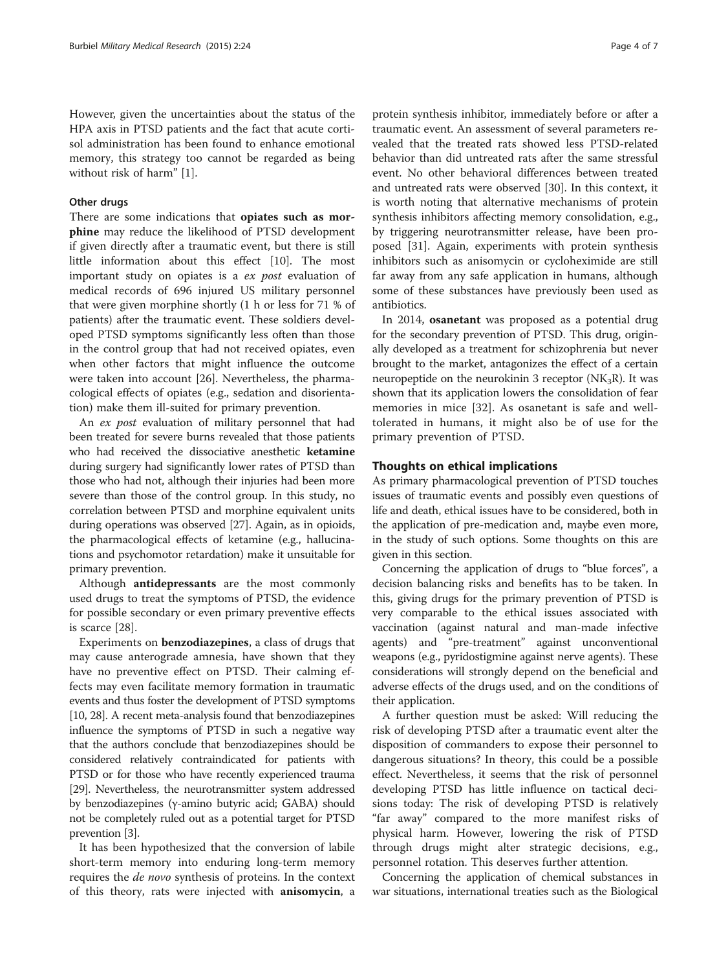However, given the uncertainties about the status of the HPA axis in PTSD patients and the fact that acute cortisol administration has been found to enhance emotional memory, this strategy too cannot be regarded as being without risk of harm" [\[1](#page-5-0)].

#### Other drugs

There are some indications that opiates such as morphine may reduce the likelihood of PTSD development if given directly after a traumatic event, but there is still little information about this effect [\[10\]](#page-5-0). The most important study on opiates is a ex post evaluation of medical records of 696 injured US military personnel that were given morphine shortly (1 h or less for 71 % of patients) after the traumatic event. These soldiers developed PTSD symptoms significantly less often than those in the control group that had not received opiates, even when other factors that might influence the outcome were taken into account [\[26](#page-5-0)]. Nevertheless, the pharmacological effects of opiates (e.g., sedation and disorientation) make them ill-suited for primary prevention.

An ex post evaluation of military personnel that had been treated for severe burns revealed that those patients who had received the dissociative anesthetic ketamine during surgery had significantly lower rates of PTSD than those who had not, although their injuries had been more severe than those of the control group. In this study, no correlation between PTSD and morphine equivalent units during operations was observed [[27](#page-6-0)]. Again, as in opioids, the pharmacological effects of ketamine (e.g., hallucinations and psychomotor retardation) make it unsuitable for primary prevention.

Although antidepressants are the most commonly used drugs to treat the symptoms of PTSD, the evidence for possible secondary or even primary preventive effects is scarce [\[28\]](#page-6-0).

Experiments on benzodiazepines, a class of drugs that may cause anterograde amnesia, have shown that they have no preventive effect on PTSD. Their calming effects may even facilitate memory formation in traumatic events and thus foster the development of PTSD symptoms [[10](#page-5-0), [28](#page-6-0)]. A recent meta-analysis found that benzodiazepines influence the symptoms of PTSD in such a negative way that the authors conclude that benzodiazepines should be considered relatively contraindicated for patients with PTSD or for those who have recently experienced trauma [[29](#page-6-0)]. Nevertheless, the neurotransmitter system addressed by benzodiazepines (γ-amino butyric acid; GABA) should not be completely ruled out as a potential target for PTSD prevention [\[3](#page-5-0)].

It has been hypothesized that the conversion of labile short-term memory into enduring long-term memory requires the de novo synthesis of proteins. In the context of this theory, rats were injected with anisomycin, a

protein synthesis inhibitor, immediately before or after a traumatic event. An assessment of several parameters revealed that the treated rats showed less PTSD-related behavior than did untreated rats after the same stressful event. No other behavioral differences between treated and untreated rats were observed [[30\]](#page-6-0). In this context, it is worth noting that alternative mechanisms of protein synthesis inhibitors affecting memory consolidation, e.g., by triggering neurotransmitter release, have been proposed [[31\]](#page-6-0). Again, experiments with protein synthesis inhibitors such as anisomycin or cycloheximide are still far away from any safe application in humans, although some of these substances have previously been used as antibiotics.

In 2014, osanetant was proposed as a potential drug for the secondary prevention of PTSD. This drug, originally developed as a treatment for schizophrenia but never brought to the market, antagonizes the effect of a certain neuropeptide on the neurokinin 3 receptor  $(NK_3R)$ . It was shown that its application lowers the consolidation of fear memories in mice [\[32](#page-6-0)]. As osanetant is safe and welltolerated in humans, it might also be of use for the primary prevention of PTSD.

## Thoughts on ethical implications

As primary pharmacological prevention of PTSD touches issues of traumatic events and possibly even questions of life and death, ethical issues have to be considered, both in the application of pre-medication and, maybe even more, in the study of such options. Some thoughts on this are given in this section.

Concerning the application of drugs to "blue forces", a decision balancing risks and benefits has to be taken. In this, giving drugs for the primary prevention of PTSD is very comparable to the ethical issues associated with vaccination (against natural and man-made infective agents) and "pre-treatment" against unconventional weapons (e.g., pyridostigmine against nerve agents). These considerations will strongly depend on the beneficial and adverse effects of the drugs used, and on the conditions of their application.

A further question must be asked: Will reducing the risk of developing PTSD after a traumatic event alter the disposition of commanders to expose their personnel to dangerous situations? In theory, this could be a possible effect. Nevertheless, it seems that the risk of personnel developing PTSD has little influence on tactical decisions today: The risk of developing PTSD is relatively "far away" compared to the more manifest risks of physical harm. However, lowering the risk of PTSD through drugs might alter strategic decisions, e.g., personnel rotation. This deserves further attention.

Concerning the application of chemical substances in war situations, international treaties such as the Biological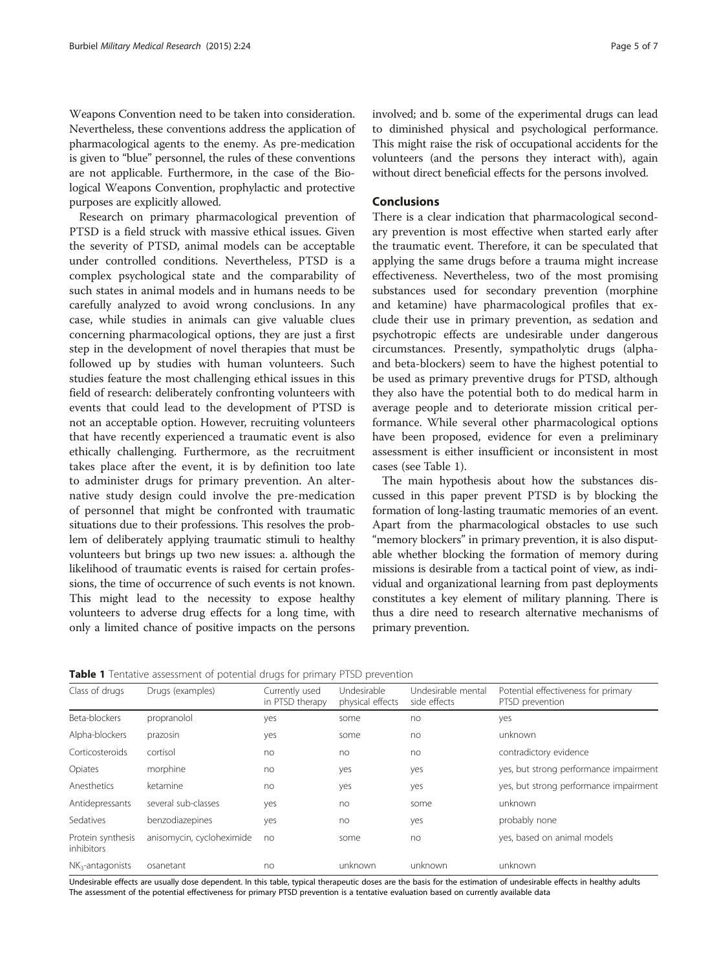Weapons Convention need to be taken into consideration. Nevertheless, these conventions address the application of pharmacological agents to the enemy. As pre-medication is given to "blue" personnel, the rules of these conventions are not applicable. Furthermore, in the case of the Biological Weapons Convention, prophylactic and protective purposes are explicitly allowed.

Research on primary pharmacological prevention of PTSD is a field struck with massive ethical issues. Given the severity of PTSD, animal models can be acceptable under controlled conditions. Nevertheless, PTSD is a complex psychological state and the comparability of such states in animal models and in humans needs to be carefully analyzed to avoid wrong conclusions. In any case, while studies in animals can give valuable clues concerning pharmacological options, they are just a first step in the development of novel therapies that must be followed up by studies with human volunteers. Such studies feature the most challenging ethical issues in this field of research: deliberately confronting volunteers with events that could lead to the development of PTSD is not an acceptable option. However, recruiting volunteers that have recently experienced a traumatic event is also ethically challenging. Furthermore, as the recruitment takes place after the event, it is by definition too late to administer drugs for primary prevention. An alternative study design could involve the pre-medication of personnel that might be confronted with traumatic situations due to their professions. This resolves the problem of deliberately applying traumatic stimuli to healthy volunteers but brings up two new issues: a. although the likelihood of traumatic events is raised for certain professions, the time of occurrence of such events is not known. This might lead to the necessity to expose healthy volunteers to adverse drug effects for a long time, with only a limited chance of positive impacts on the persons

involved; and b. some of the experimental drugs can lead to diminished physical and psychological performance. This might raise the risk of occupational accidents for the volunteers (and the persons they interact with), again without direct beneficial effects for the persons involved.

#### Conclusions

There is a clear indication that pharmacological secondary prevention is most effective when started early after the traumatic event. Therefore, it can be speculated that applying the same drugs before a trauma might increase effectiveness. Nevertheless, two of the most promising substances used for secondary prevention (morphine and ketamine) have pharmacological profiles that exclude their use in primary prevention, as sedation and psychotropic effects are undesirable under dangerous circumstances. Presently, sympatholytic drugs (alphaand beta-blockers) seem to have the highest potential to be used as primary preventive drugs for PTSD, although they also have the potential both to do medical harm in average people and to deteriorate mission critical performance. While several other pharmacological options have been proposed, evidence for even a preliminary assessment is either insufficient or inconsistent in most cases (see Table 1).

The main hypothesis about how the substances discussed in this paper prevent PTSD is by blocking the formation of long-lasting traumatic memories of an event. Apart from the pharmacological obstacles to use such "memory blockers" in primary prevention, it is also disputable whether blocking the formation of memory during missions is desirable from a tactical point of view, as individual and organizational learning from past deployments constitutes a key element of military planning. There is thus a dire need to research alternative mechanisms of primary prevention.

Table 1 Tentative assessment of potential drugs for primary PTSD prevention

| Class of drugs                  | Drugs (examples)          | Currently used<br>in PTSD therapy | Undesirable<br>physical effects | Undesirable mental<br>side effects | Potential effectiveness for primary<br>PTSD prevention |
|---------------------------------|---------------------------|-----------------------------------|---------------------------------|------------------------------------|--------------------------------------------------------|
| Beta-blockers                   | propranolol               | yes                               | some                            | no                                 | yes                                                    |
| Alpha-blockers                  | prazosin                  | yes                               | some                            | no                                 | unknown                                                |
| Corticosteroids                 | cortisol                  | no                                | no                              | no                                 | contradictory evidence                                 |
| Opiates                         | morphine                  | no                                | yes                             | yes                                | yes, but strong performance impairment                 |
| Anesthetics                     | ketamine                  | no                                | yes                             | yes                                | yes, but strong performance impairment                 |
| Antidepressants                 | several sub-classes       | yes                               | no                              | some                               | unknown                                                |
| Sedatives                       | benzodiazepines           | yes                               | no                              | yes                                | probably none                                          |
| Protein synthesis<br>inhibitors | anisomycin, cycloheximide | no                                | some                            | no                                 | yes, based on animal models                            |
| NK <sub>3</sub> -antagonists    | osanetant                 | no                                | unknown                         | unknown                            | unknown                                                |

Undesirable effects are usually dose dependent. In this table, typical therapeutic doses are the basis for the estimation of undesirable effects in healthy adults The assessment of the potential effectiveness for primary PTSD prevention is a tentative evaluation based on currently available data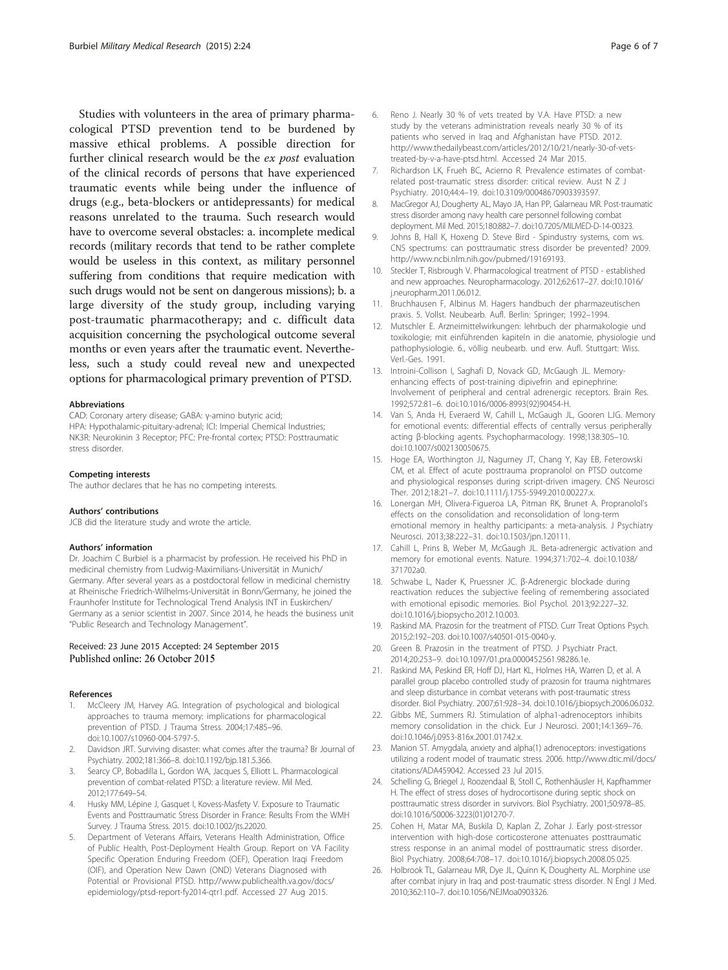<span id="page-5-0"></span>Studies with volunteers in the area of primary pharmacological PTSD prevention tend to be burdened by massive ethical problems. A possible direction for further clinical research would be the ex post evaluation of the clinical records of persons that have experienced traumatic events while being under the influence of drugs (e.g., beta-blockers or antidepressants) for medical reasons unrelated to the trauma. Such research would have to overcome several obstacles: a. incomplete medical records (military records that tend to be rather complete would be useless in this context, as military personnel suffering from conditions that require medication with such drugs would not be sent on dangerous missions); b. a large diversity of the study group, including varying post-traumatic pharmacotherapy; and c. difficult data acquisition concerning the psychological outcome several months or even years after the traumatic event. Nevertheless, such a study could reveal new and unexpected options for pharmacological primary prevention of PTSD.

#### Abbreviations

CAD: Coronary artery disease; GABA: γ-amino butyric acid; HPA: Hypothalamic-pituitary-adrenal; ICI: Imperial Chemical Industries; NK3R: Neurokinin 3 Receptor; PFC: Pre-frontal cortex; PTSD: Posttraumatic stress disorder.

#### Competing interests

The author declares that he has no competing interests.

#### Authors' contributions

JCB did the literature study and wrote the article.

#### Authors' information

Dr. Joachim C Burbiel is a pharmacist by profession. He received his PhD in medicinal chemistry from Ludwig-Maximilians-Universität in Munich/ Germany. After several years as a postdoctoral fellow in medicinal chemistry at Rheinische Friedrich-Wilhelms-Universität in Bonn/Germany, he joined the Fraunhofer Institute for Technological Trend Analysis INT in Euskirchen/ Germany as a senior scientist in 2007. Since 2014, he heads the business unit "Public Research and Technology Management".

# Received: 23 June 2015 Accepted: 24 September 2015 Published online: 26 October 2015

#### References

- 1. McCleery JM, Harvey AG. Integration of psychological and biological approaches to trauma memory: implications for pharmacological prevention of PTSD. J Trauma Stress. 2004;17:485–96. doi[:10.1007/s10960-004-5797-5.](http://dx.doi.org/10.1007/s10960-004-5797-5)
- 2. Davidson JRT. Surviving disaster: what comes after the trauma? Br Journal of Psychiatry. 2002;181:366–8. doi[:10.1192/bjp.181.5.366](http://dx.doi.org/10.1192/bjp.181.5.366).
- 3. Searcy CP, Bobadilla L, Gordon WA, Jacques S, Elliott L. Pharmacological prevention of combat-related PTSD: a literature review. Mil Med. 2012;177:649–54.
- 4. Husky MM, Lépine J, Gasquet I, Kovess-Masfety V. Exposure to Traumatic Events and Posttraumatic Stress Disorder in France: Results From the WMH Survey. J Trauma Stress. 2015. doi[:10.1002/jts.22020.](http://dx.doi.org/10.1002/jts.22020)
- 5. Department of Veterans Affairs, Veterans Health Administration, Office of Public Health, Post-Deployment Health Group. Report on VA Facility Specific Operation Enduring Freedom (OEF), Operation Iraqi Freedom (OIF), and Operation New Dawn (OND) Veterans Diagnosed with Potential or Provisional PTSD. [http://www.publichealth.va.gov/docs/](http://www.publichealth.va.gov/docs/epidemiology/ptsd-report-fy2014-qtr1.pdf) [epidemiology/ptsd-report-fy2014-qtr1.pdf.](http://www.publichealth.va.gov/docs/epidemiology/ptsd-report-fy2014-qtr1.pdf) Accessed 27 Aug 2015.
- 6. Reno J. Nearly 30 % of vets treated by V.A. Have PTSD: a new study by the veterans administration reveals nearly 30 % of its patients who served in Iraq and Afghanistan have PTSD. 2012. [http://www.thedailybeast.com/articles/2012/10/21/nearly-30-of-vets](http://www.thedailybeast.com/articles/2012/10/21/nearly-30-of-vets-treated-by-v-a-have-ptsd.html)[treated-by-v-a-have-ptsd.html.](http://www.thedailybeast.com/articles/2012/10/21/nearly-30-of-vets-treated-by-v-a-have-ptsd.html) Accessed 24 Mar 2015.
- 7. Richardson LK, Frueh BC, Acierno R. Prevalence estimates of combatrelated post-traumatic stress disorder: critical review. Aust N Z J Psychiatry. 2010;44:4–19. doi[:10.3109/00048670903393597.](http://dx.doi.org/10.3109/00048670903393597)
- 8. MacGregor AJ, Dougherty AL, Mayo JA, Han PP, Galarneau MR. Post-traumatic stress disorder among navy health care personnel following combat deployment. Mil Med. 2015;180:882–7. doi[:10.7205/MILMED-D-14-00323](http://dx.doi.org/10.7205/MILMED-D-14-00323).
- 9. Johns B, Hall K, Hoxeng D. Steve Bird Spindustry systems, com ws. CNS spectrums: can posttraumatic stress disorder be prevented? 2009. [http://www.ncbi.nlm.nih.gov/pubmed/19169193.](http://www.ncbi.nlm.nih.gov/pubmed/19169193)
- 10. Steckler T, Risbrough V. Pharmacological treatment of PTSD established and new approaches. Neuropharmacology. 2012;62:617–27. doi[:10.1016/](http://dx.doi.org/10.1016/j.neuropharm.2011.06.012) [j.neuropharm.2011.06.012](http://dx.doi.org/10.1016/j.neuropharm.2011.06.012).
- 11. Bruchhausen F, Albinus M. Hagers handbuch der pharmazeutischen praxis. 5. Vollst. Neubearb. Aufl. Berlin: Springer; 1992–1994.
- 12. Mutschler E. Arzneimittelwirkungen: lehrbuch der pharmakologie und toxikologie; mit einführenden kapiteln in die anatomie, physiologie und pathophysiologie. 6., völlig neubearb. und erw. Aufl. Stuttgart: Wiss. Verl.-Ges. 1991.
- 13. Introini-Collison I, Saghafi D, Novack GD, McGaugh JL. Memoryenhancing effects of post-training dipivefrin and epinephrine: Involvement of peripheral and central adrenergic receptors. Brain Res. 1992;572:81–6. doi:[10.1016/0006-8993\(92\)90454-H.](http://dx.doi.org/10.1016/0006-8993(92)90454-H)
- 14. Van S, Anda H, Everaerd W, Cahill L, McGaugh JL, Gooren LJG. Memory for emotional events: differential effects of centrally versus peripherally acting β-blocking agents. Psychopharmacology. 1998;138:305–10. doi[:10.1007/s002130050675.](http://dx.doi.org/10.1007/s002130050675)
- 15. Hoge EA, Worthington JJ, Nagurney JT, Chang Y, Kay EB, Feterowski CM, et al. Effect of acute posttrauma propranolol on PTSD outcome and physiological responses during script-driven imagery. CNS Neurosci Ther. 2012;18:21–7. doi[:10.1111/j.1755-5949.2010.00227.x.](http://dx.doi.org/10.1111/j.1755-5949.2010.00227.x)
- 16. Lonergan MH, Olivera-Figueroa LA, Pitman RK, Brunet A. Propranolol's effects on the consolidation and reconsolidation of long-term emotional memory in healthy participants: a meta-analysis. J Psychiatry Neurosci. 2013;38:222–31. doi:[10.1503/jpn.120111](http://dx.doi.org/10.1503/jpn.120111).
- 17. Cahill L, Prins B, Weber M, McGaugh JL. Beta-adrenergic activation and memory for emotional events. Nature. 1994;371:702–4. doi:[10.1038/](http://dx.doi.org/10.1038/371702a0) [371702a0.](http://dx.doi.org/10.1038/371702a0)
- 18. Schwabe L, Nader K, Pruessner JC. β-Adrenergic blockade during reactivation reduces the subjective feeling of remembering associated with emotional episodic memories. Biol Psychol. 2013;92:227–32. doi[:10.1016/j.biopsycho.2012.10.003.](http://dx.doi.org/10.1016/j.biopsycho.2012.10.003)
- 19. Raskind MA. Prazosin for the treatment of PTSD. Curr Treat Options Psych. 2015;2:192–203. doi:[10.1007/s40501-015-0040-y.](http://dx.doi.org/10.1007/s40501-015-0040-y)
- 20. Green B. Prazosin in the treatment of PTSD. J Psychiatr Pract. 2014;20:253–9. doi:[10.1097/01.pra.0000452561.98286.1e.](http://dx.doi.org/10.1097/01.pra.0000452561.98286.1e)
- 21. Raskind MA, Peskind ER, Hoff DJ, Hart KL, Holmes HA, Warren D, et al. A parallel group placebo controlled study of prazosin for trauma nightmares and sleep disturbance in combat veterans with post-traumatic stress disorder. Biol Psychiatry. 2007;61:928–34. doi[:10.1016/j.biopsych.2006.06.032.](http://dx.doi.org/10.1016/j.biopsych.2006.06.032)
- 22. Gibbs ME, Summers RJ. Stimulation of alpha1-adrenoceptors inhibits memory consolidation in the chick. Eur J Neurosci. 2001;14:1369–76. doi[:10.1046/j.0953-816x.2001.01742.x](http://dx.doi.org/10.1046/j.0953-816x.2001.01742.x).
- 23. Manion ST. Amygdala, anxiety and alpha(1) adrenoceptors: investigations utilizing a rodent model of traumatic stress. 2006. [http://www.dtic.mil/docs/](http://www.dtic.mil/docs/citations/ADA459042) [citations/ADA459042](http://www.dtic.mil/docs/citations/ADA459042). Accessed 23 Jul 2015.
- 24. Schelling G, Briegel J, Roozendaal B, Stoll C, Rothenhäusler H, Kapfhammer H. The effect of stress doses of hydrocortisone during septic shock on posttraumatic stress disorder in survivors. Biol Psychiatry. 2001;50:978–85. doi[:10.1016/S0006-3223\(01\)01270-7.](http://dx.doi.org/10.1016/S0006-3223(01)01270-7)
- 25. Cohen H, Matar MA, Buskila D, Kaplan Z, Zohar J. Early post-stressor intervention with high-dose corticosterone attenuates posttraumatic stress response in an animal model of posttraumatic stress disorder. Biol Psychiatry. 2008;64:708–17. doi:[10.1016/j.biopsych.2008.05.025](http://dx.doi.org/10.1016/j.biopsych.2008.05.025).
- 26. Holbrook TL, Galarneau MR, Dye JL, Quinn K, Dougherty AL. Morphine use after combat injury in Iraq and post-traumatic stress disorder. N Engl J Med. 2010;362:110–7. doi:[10.1056/NEJMoa0903326.](http://dx.doi.org/10.1056/NEJMoa0903326)